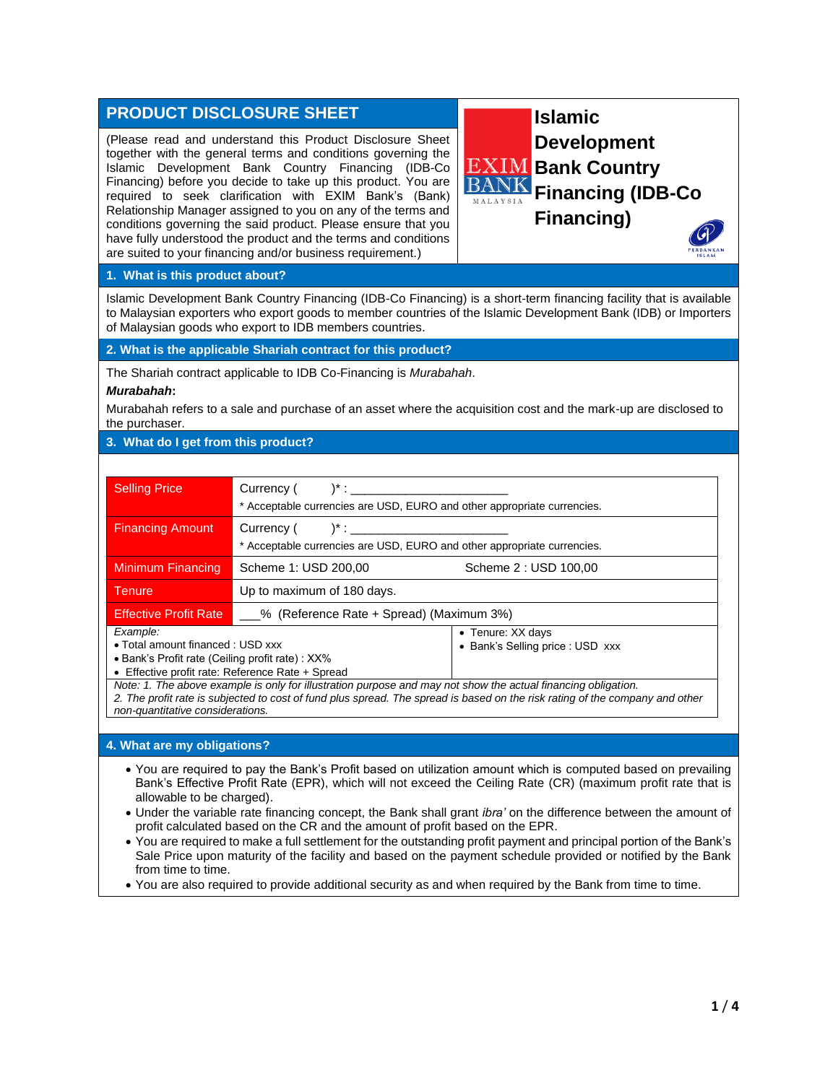# **PRODUCT DISCLOSURE SHEET**

(Please read and understand this Product Disclosure Sheet together with the general terms and conditions governing the Islamic Development Bank Country Financing (IDB-Co Financing) before you decide to take up this product. You are required to seek clarification with EXIM Bank's (Bank) Relationship Manager assigned to you on any of the terms and conditions governing the said product. Please ensure that you have fully understood the product and the terms and conditions are suited to your financing and/or business requirement.)



#### **1. What is this product about?**

Islamic Development Bank Country Financing (IDB-Co Financing) is a short-term financing facility that is available to Malaysian exporters who export goods to member countries of the Islamic Development Bank (IDB) or Importers of Malaysian goods who export to IDB members countries.

**2. What is the applicable Shariah contract for this product?**

The Shariah contract applicable to IDB Co-Financing is *Murabahah*.

#### *Murabahah***:**

Murabahah refers to a sale and purchase of an asset where the acquisition cost and the mark-up are disclosed to the purchaser.

## **3. What do I get from this product?**

| <b>Selling Price</b>                                                                                                                                | Currency $($ $)^*$ :<br>* Acceptable currencies are USD, EURO and other appropriate currencies. |                                                       |  |
|-----------------------------------------------------------------------------------------------------------------------------------------------------|-------------------------------------------------------------------------------------------------|-------------------------------------------------------|--|
| <b>Financing Amount</b>                                                                                                                             | $Current()$ $^*$ :<br>* Acceptable currencies are USD, EURO and other appropriate currencies.   |                                                       |  |
| Minimum Financing                                                                                                                                   | Scheme 1: USD 200,00                                                                            | Scheme 2 : USD 100,00                                 |  |
| <b>Tenure</b>                                                                                                                                       | Up to maximum of 180 days.                                                                      |                                                       |  |
| <b>Effective Profit Rate</b>                                                                                                                        | % (Reference Rate + Spread) (Maximum 3%)                                                        |                                                       |  |
| Example:<br>• Total amount financed: USD xxx<br>• Bank's Profit rate (Ceiling profit rate): XX%<br>• Effective profit rate: Reference Rate + Spread |                                                                                                 | • Tenure: XX days<br>• Bank's Selling price : USD xxx |  |

*Note: 1. The above example is only for illustration purpose and may not show the actual financing obligation. 2. The profit rate is subjected to cost of fund plus spread. The spread is based on the risk rating of the company and other non-quantitative considerations.*

# **4. What are my obligations?**

- You are required to pay the Bank's Profit based on utilization amount which is computed based on prevailing Bank's Effective Profit Rate (EPR), which will not exceed the Ceiling Rate (CR) (maximum profit rate that is allowable to be charged).
- Under the variable rate financing concept, the Bank shall grant *ibra'* on the difference between the amount of profit calculated based on the CR and the amount of profit based on the EPR.
- You are required to make a full settlement for the outstanding profit payment and principal portion of the Bank's Sale Price upon maturity of the facility and based on the payment schedule provided or notified by the Bank from time to time.
- You are also required to provide additional security as and when required by the Bank from time to time.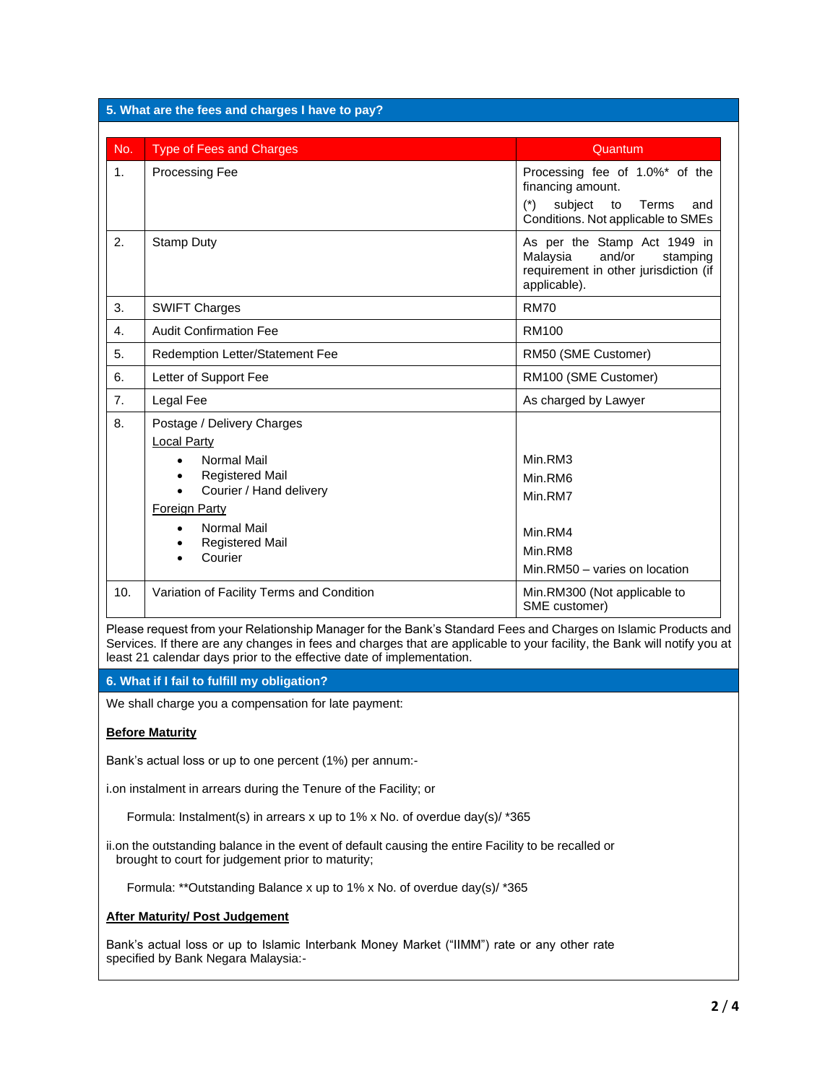| 5. What are the fees and charges I have to pay?                                                                                                                                                                                                                                                                     |                                                                                                                                                                                                                                                              |                                                                                                                                     |  |
|---------------------------------------------------------------------------------------------------------------------------------------------------------------------------------------------------------------------------------------------------------------------------------------------------------------------|--------------------------------------------------------------------------------------------------------------------------------------------------------------------------------------------------------------------------------------------------------------|-------------------------------------------------------------------------------------------------------------------------------------|--|
| No.                                                                                                                                                                                                                                                                                                                 | <b>Type of Fees and Charges</b>                                                                                                                                                                                                                              | Quantum                                                                                                                             |  |
| 1.                                                                                                                                                                                                                                                                                                                  | <b>Processing Fee</b>                                                                                                                                                                                                                                        | Processing fee of 1.0%* of the<br>financing amount.<br>$(*)$<br>subject<br>to<br>Terms<br>and<br>Conditions. Not applicable to SMEs |  |
| 2.                                                                                                                                                                                                                                                                                                                  | <b>Stamp Duty</b>                                                                                                                                                                                                                                            | As per the Stamp Act 1949 in<br>Malaysia<br>and/or<br>stamping<br>requirement in other jurisdiction (if<br>applicable).             |  |
| 3.                                                                                                                                                                                                                                                                                                                  | <b>SWIFT Charges</b>                                                                                                                                                                                                                                         | <b>RM70</b>                                                                                                                         |  |
| 4.                                                                                                                                                                                                                                                                                                                  | <b>Audit Confirmation Fee</b>                                                                                                                                                                                                                                | <b>RM100</b>                                                                                                                        |  |
| 5.                                                                                                                                                                                                                                                                                                                  | Redemption Letter/Statement Fee                                                                                                                                                                                                                              | RM50 (SME Customer)                                                                                                                 |  |
| 6.                                                                                                                                                                                                                                                                                                                  | Letter of Support Fee                                                                                                                                                                                                                                        | RM100 (SME Customer)                                                                                                                |  |
| 7.                                                                                                                                                                                                                                                                                                                  | Legal Fee                                                                                                                                                                                                                                                    | As charged by Lawyer                                                                                                                |  |
| 8.                                                                                                                                                                                                                                                                                                                  | Postage / Delivery Charges<br><b>Local Party</b><br><b>Normal Mail</b><br>$\bullet$<br><b>Registered Mail</b><br>$\bullet$<br>Courier / Hand delivery<br>$\bullet$<br><b>Foreign Party</b><br><b>Normal Mail</b><br>٠<br><b>Registered Mail</b><br>$\bullet$ | Min.RM3<br>Min.RM6<br>Min.RM7<br>Min.RM4                                                                                            |  |
|                                                                                                                                                                                                                                                                                                                     | Courier                                                                                                                                                                                                                                                      | Min.RM8<br>Min.RM50 - varies on location                                                                                            |  |
| 10.                                                                                                                                                                                                                                                                                                                 | Variation of Facility Terms and Condition                                                                                                                                                                                                                    | Min.RM300 (Not applicable to<br>SME customer)                                                                                       |  |
| Please request from your Relationship Manager for the Bank's Standard Fees and Charges on Islamic Products and<br>Services. If there are any changes in fees and charges that are applicable to your facility, the Bank will notify you at<br>least 21 calendar days prior to the effective date of implementation. |                                                                                                                                                                                                                                                              |                                                                                                                                     |  |
| 6. What if I fail to fulfill my obligation?                                                                                                                                                                                                                                                                         |                                                                                                                                                                                                                                                              |                                                                                                                                     |  |

We shall charge you a compensation for late payment:

# **Before Maturity**

Bank's actual loss or up to one percent (1%) per annum:-

i.on instalment in arrears during the Tenure of the Facility; or

Formula: Instalment(s) in arrears x up to 1% x No. of overdue day(s)/ \*365

ii.on the outstanding balance in the event of default causing the entire Facility to be recalled or brought to court for judgement prior to maturity;

Formula: \*\*Outstanding Balance x up to 1% x No. of overdue day(s)/ \*365

## **After Maturity/ Post Judgement**

Bank's actual loss or up to Islamic Interbank Money Market ("IIMM") rate or any other rate specified by Bank Negara Malaysia:-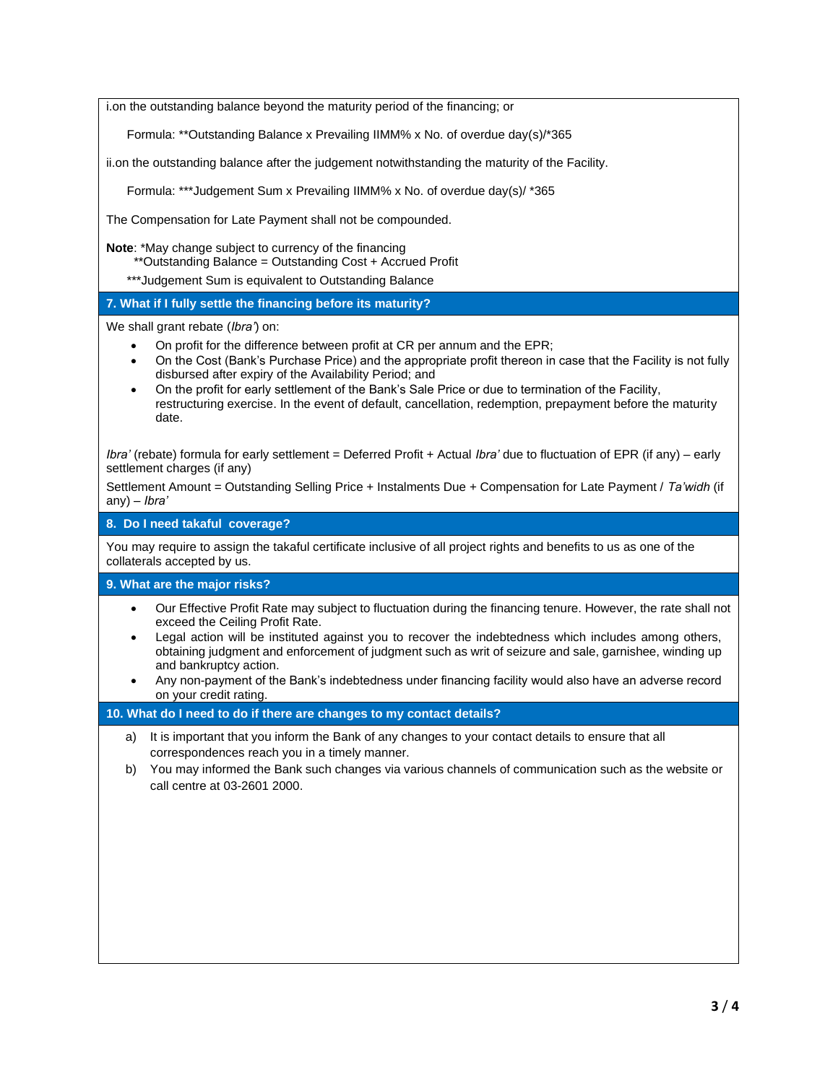i.on the outstanding balance beyond the maturity period of the financing; or

Formula: \*\*Outstanding Balance x Prevailing IIMM% x No. of overdue day(s)/\*365

ii.on the outstanding balance after the judgement notwithstanding the maturity of the Facility.

Formula: \*\*\*Judgement Sum x Prevailing IIMM% x No. of overdue day(s)/ \*365

The Compensation for Late Payment shall not be compounded.

**Note**: \*May change subject to currency of the financing

- \*\*Outstanding Balance = Outstanding Cost + Accrued Profit
- \*\*\*Judgement Sum is equivalent to Outstanding Balance

# **7. What if I fully settle the financing before its maturity?**

We shall grant rebate (*Ibra'*) on:

- On profit for the difference between profit at CR per annum and the EPR;
- On the Cost (Bank's Purchase Price) and the appropriate profit thereon in case that the Facility is not fully disbursed after expiry of the Availability Period; and
- On the profit for early settlement of the Bank's Sale Price or due to termination of the Facility, restructuring exercise. In the event of default, cancellation, redemption, prepayment before the maturity date.

*Ibra'* (rebate) formula for early settlement = Deferred Profit + Actual *Ibra'* due to fluctuation of EPR (if any) – early settlement charges (if any)

Settlement Amount = Outstanding Selling Price + Instalments Due + Compensation for Late Payment / *Ta'widh* (if any) – *Ibra'* 

**8. Do I need takaful coverage?**

You may require to assign the takaful certificate inclusive of all project rights and benefits to us as one of the collaterals accepted by us.

#### **9. What are the major risks?**

- Our Effective Profit Rate may subject to fluctuation during the financing tenure. However, the rate shall not exceed the Ceiling Profit Rate.
- Legal action will be instituted against you to recover the indebtedness which includes among others, obtaining judgment and enforcement of judgment such as writ of seizure and sale, garnishee, winding up and bankruptcy action.
- Any non-payment of the Bank's indebtedness under financing facility would also have an adverse record on your credit rating.

### **10. What do I need to do if there are changes to my contact details?**

- a) It is important that you inform the Bank of any changes to your contact details to ensure that all correspondences reach you in a timely manner.
- b) You may informed the Bank such changes via various channels of communication such as the website or call centre at 03-2601 2000.